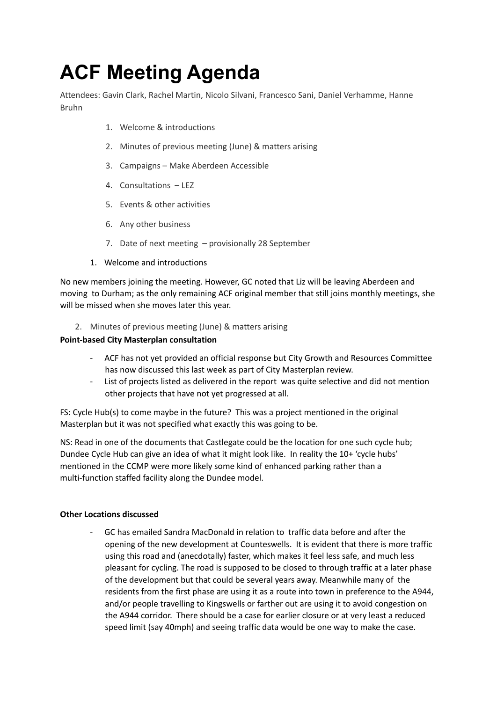# **ACF Meeting Agenda**

Attendees: Gavin Clark, Rachel Martin, Nicolo Silvani, Francesco Sani, Daniel Verhamme, Hanne Bruhn

- 1. Welcome & introductions
- 2. Minutes of previous meeting (June) & matters arising
- 3. Campaigns Make Aberdeen Accessible
- 4. Consultations LEZ
- 5. Events & other activities
- 6. Any other business
- 7. Date of next meeting provisionally 28 September
- 1. Welcome and introductions

No new members joining the meeting. However, GC noted that Liz will be leaving Aberdeen and moving to Durham; as the only remaining ACF original member that still joins monthly meetings, she will be missed when she moves later this year.

2. Minutes of previous meeting (June) & matters arising

## **Point-based City Masterplan consultation**

- ACF has not yet provided an official response but City Growth and Resources Committee has now discussed this last week as part of City Masterplan review.
- List of projects listed as delivered in the report was quite selective and did not mention other projects that have not yet progressed at all.

FS: Cycle Hub(s) to come maybe in the future? This was a project mentioned in the original Masterplan but it was not specified what exactly this was going to be.

NS: Read in one of the documents that Castlegate could be the location for one such cycle hub; Dundee Cycle Hub can give an idea of what it might look like. In reality the 10+ 'cycle hubs' mentioned in the CCMP were more likely some kind of enhanced parking rather than a multi-function staffed facility along the Dundee model.

# **Other Locations discussed**

- GC has emailed Sandra MacDonald in relation to traffic data before and after the opening of the new development at Counteswells. It is evident that there is more traffic using this road and (anecdotally) faster, which makes it feel less safe, and much less pleasant for cycling. The road is supposed to be closed to through traffic at a later phase of the development but that could be several years away. Meanwhile many of the residents from the first phase are using it as a route into town in preference to the A944, and/or people travelling to Kingswells or farther out are using it to avoid congestion on the A944 corridor. There should be a case for earlier closure or at very least a reduced speed limit (say 40mph) and seeing traffic data would be one way to make the case.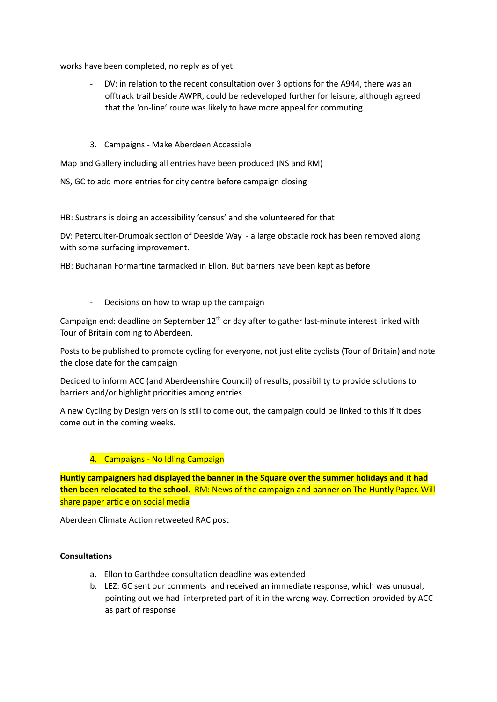works have been completed, no reply as of yet

- DV: in relation to the recent consultation over 3 options for the A944, there was an offtrack trail beside AWPR, could be redeveloped further for leisure, although agreed that the 'on-line' route was likely to have more appeal for commuting.
- 3. Campaigns Make Aberdeen Accessible

Map and Gallery including all entries have been produced (NS and RM)

NS, GC to add more entries for city centre before campaign closing

HB: Sustrans is doing an accessibility 'census' and she volunteered for that

DV: Peterculter-Drumoak section of Deeside Way - a large obstacle rock has been removed along with some surfacing improvement.

HB: Buchanan Formartine tarmacked in Ellon. But barriers have been kept as before

Decisions on how to wrap up the campaign

Campaign end: deadline on September 12<sup>th</sup> or day after to gather last-minute interest linked with Tour of Britain coming to Aberdeen.

Posts to be published to promote cycling for everyone, not just elite cyclists (Tour of Britain) and note the close date for the campaign

Decided to inform ACC (and Aberdeenshire Council) of results, possibility to provide solutions to barriers and/or highlight priorities among entries

A new Cycling by Design version is still to come out, the campaign could be linked to this if it does come out in the coming weeks.

#### 4. Campaigns - No Idling Campaign

**Huntly campaigners had displayed the banner in the Square over the summer holidays and it had then been relocated to the school.** RM: News of the campaign and banner on The Huntly Paper. Will share paper article on social media

Aberdeen Climate Action retweeted RAC post

#### **Consultations**

- a. Ellon to Garthdee consultation deadline was extended
- b. LEZ: GC sent our comments and received an immediate response, which was unusual, pointing out we had interpreted part of it in the wrong way. Correction provided by ACC as part of response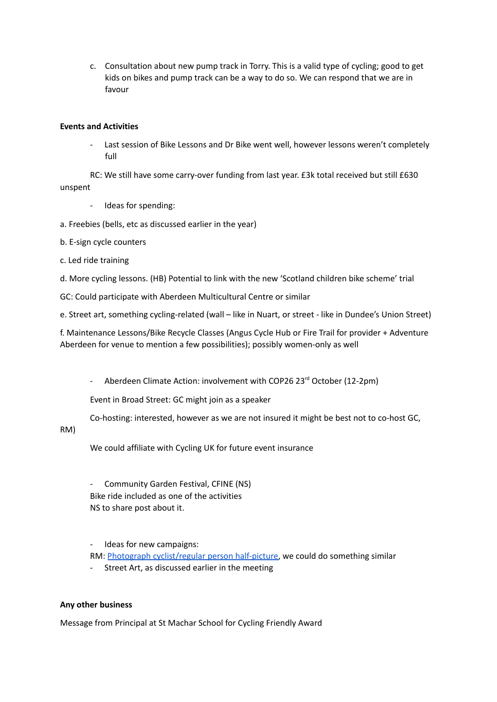c. Consultation about new pump track in Torry. This is a valid type of cycling; good to get kids on bikes and pump track can be a way to do so. We can respond that we are in favour

## **Events and Activities**

Last session of Bike Lessons and Dr Bike went well, however lessons weren't completely full

RC: We still have some carry-over funding from last year. £3k total received but still £630 unspent

- Ideas for spending:
- a. Freebies (bells, etc as discussed earlier in the year)
- b. E-sign cycle counters
- c. Led ride training
- d. More cycling lessons. (HB) Potential to link with the new 'Scotland children bike scheme' trial
- GC: Could participate with Aberdeen Multicultural Centre or similar

e. Street art, something cycling-related (wall – like in Nuart, or street - like in Dundee's Union Street)

f. Maintenance Lessons/Bike Recycle Classes (Angus Cycle Hub or Fire Trail for provider + Adventure Aberdeen for venue to mention a few possibilities); possibly women-only as well

- Aberdeen Climate Action: involvement with COP26 23<sup>rd</sup> October (12-2pm)

Event in Broad Street: GC might join as a speaker

Co-hosting: interested, however as we are not insured it might be best not to co-host GC,

## RM)

We could affiliate with Cycling UK for future event insurance

- Community Garden Festival, CFINE (NS) Bike ride included as one of the activities NS to share post about it.

- Ideas for new campaigns:

- RM: Photograph [cyclist/regular](https://road.cc/content/news/cycling-live-blog-31-august-2021-285993) person half-picture, we could do something similar
- Street Art, as discussed earlier in the meeting

#### **Any other business**

Message from Principal at St Machar School for Cycling Friendly Award